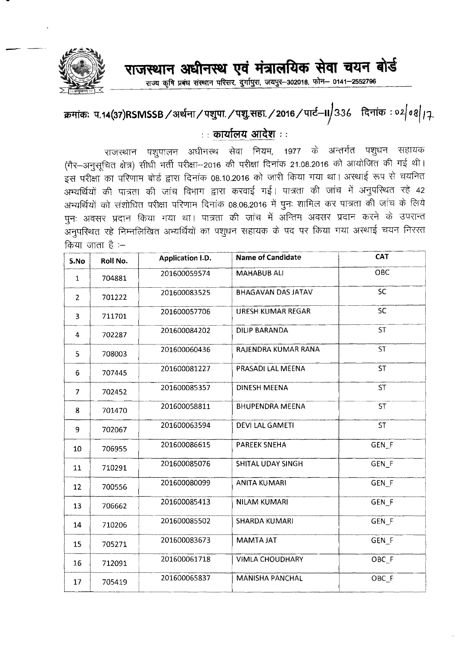

## राजस्थान अधीनस्थ एवं मंत्रालयिक सेवा चयन बोर्ड

-<br>राज्य कृषि प्रबंध संस्थान परिसर, दुर्गापुरा, जयपुर- 302018, फोन- 0141- 2552796

## *s*क्मांकः प.14(37)RSMSSB ⁄ अर्थना ⁄ पशुपा ⁄ पशु.सहा ⁄ 2016 ⁄ पार्ट—II/336 दिनांक : ०2/ ०१/ <sub>/ 7-</sub>

## **: : cmtff<.YItf ~ : :**

राजस्थान पशुपालन अधीनस्थ सेवा नियम, 1977 के अन्तर्गत पशुधन सहायक (गैर-अनुसूचित क्षेत्र) सीधी भर्ती परीक्षा-2016 की परीक्षा दिनांक 21.08.2016 को आयोजित की गई थी। इस परीक्षा का परिणाम बोर्ड द्वारा दिनांक 08.10.2016 को जारी किया गया था। अस्थाई रूप से चयनित अभ्यर्थियों की पात्रता की जांच विभाग द्वारा करवाई गई। पात्रता की जांच में अनुपस्थित रहे 42 अभ्यर्थियों को संशोधित परीक्षा परिणाम दिनांक 08.06.2016 में पुनः शामिल कर पात्रता की जांच के लिये पुनः अवसर प्रदान किया गया था। पात्रता की जांच में अन्तिम अवसर प्रदान करने के उपरान्त \_<br>अनुपस्थित रहे निम्नलिखित अभ्यर्थियों का पशुधन सहायक के पद पर किया गया अस्थाई चयन निरस्त  $\theta$ किया जाता है :–

| S.No           | Roll No. | <b>Application I.D.</b> | <b>Name of Candidate</b>  | CAT              |
|----------------|----------|-------------------------|---------------------------|------------------|
| $\mathbf{1}$   | 704881   | 201600059574            | <b>MAHABUB ALI</b>        | OBC              |
| $\overline{2}$ | 701222   | 201600083525            | <b>BHAGAVAN DAS JATAV</b> | SC               |
| 3              | 711701   | 201600057706            | <b>URESH KUMAR REGAR</b>  | SC               |
| 4              | 702287   | 201600084202            | <b>DILIP BARANDA</b>      | <b>ST</b>        |
| 5              | 708003   | 201600060436            | RAJENDRA KUMAR RANA       | <b>ST</b>        |
| 6              | 707445   | 201600081227            | PRASADI LAL MEENA         | <b>ST</b>        |
| $\overline{7}$ | 702452   | 201600085357            | <b>DINESH MEENA</b>       | <b>ST</b>        |
| 8              | 701470   | 201600058811            | <b>BHUPENDRA MEENA</b>    | ST               |
| 9              | 702067   | 201600063594            | <b>DEVI LAL GAMETI</b>    | <b>ST</b>        |
| 10             | 706955   | 201600086615            | <b>PAREEK SNEHA</b>       | GEN_F            |
| 11             | 710291   | 201600085076            | <b>SHITAL UDAY SINGH</b>  | GEN_F            |
| 12             | 700556   | 201600080099            | <b>ANITA KUMARI</b>       | GEN_F            |
| 13             | 706662   | 201600085413            | <b>NILAM KUMARI</b>       | GEN <sub>F</sub> |
| 14             | 710206   | 201600085502            | <b>SHARDA KUMARI</b>      | GEN F            |
| 15             | 705271   | 201600083673            | <b>MAMTA JAT</b>          | GEN_F            |
| 16             | 712091   | 201600061718            | <b>VIMLA CHOUDHARY</b>    | OBC F            |
| 17             | 705419   | 201600065837            | <b>MANISHA PANCHAL</b>    | OBC_F            |